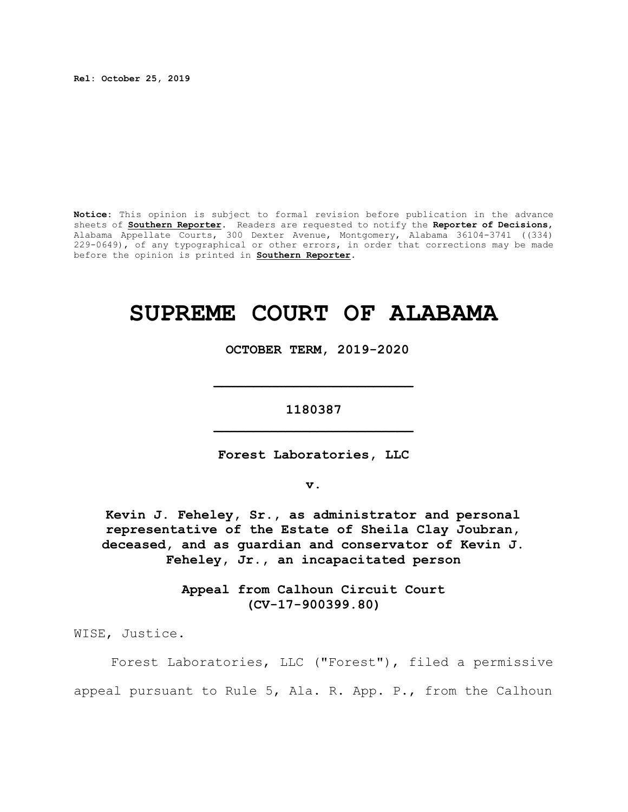**Rel: October 25, 2019**

**Notice:** This opinion is subject to formal revision before publication in the advance sheets of **Southern Reporter**. Readers are requested to notify the **Reporter of Decisions**, Alabama Appellate Courts, 300 Dexter Avenue, Montgomery, Alabama 36104-3741 ((334) 229-0649), of any typographical or other errors, in order that corrections may be made before the opinion is printed in **Southern Reporter**.

# **SUPREME COURT OF ALABAMA**

 **OCTOBER TERM, 2019-2020**

**1180387 \_\_\_\_\_\_\_\_\_\_\_\_\_\_\_\_\_\_\_\_\_\_\_\_\_**

**\_\_\_\_\_\_\_\_\_\_\_\_\_\_\_\_\_\_\_\_\_\_\_\_\_**

**Forest Laboratories, LLC**

**v.**

**Kevin J. Feheley, Sr., as administrator and personal representative of the Estate of Sheila Clay Joubran, deceased, and as guardian and conservator of Kevin J. Feheley, Jr., an incapacitated person**

> **Appeal from Calhoun Circuit Court (CV-17-900399.80)**

WISE, Justice.

Forest Laboratories, LLC ("Forest"), filed a permissive appeal pursuant to Rule 5, Ala. R. App. P., from the Calhoun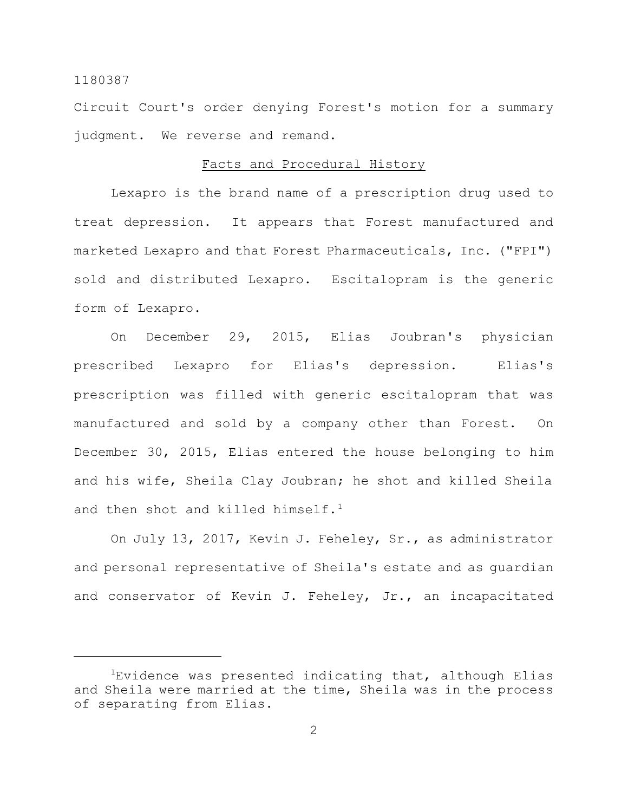Circuit Court's order denying Forest's motion for a summary judgment. We reverse and remand.

## Facts and Procedural History

Lexapro is the brand name of a prescription drug used to treat depression. It appears that Forest manufactured and marketed Lexapro and that Forest Pharmaceuticals, Inc. ("FPI") sold and distributed Lexapro. Escitalopram is the generic form of Lexapro.

On December 29, 2015, Elias Joubran's physician prescribed Lexapro for Elias's depression. Elias's prescription was filled with generic escitalopram that was manufactured and sold by a company other than Forest. On December 30, 2015, Elias entered the house belonging to him and his wife, Sheila Clay Joubran; he shot and killed Sheila and then shot and killed himself. $1$ 

On July 13, 2017, Kevin J. Feheley, Sr., as administrator and personal representative of Sheila's estate and as guardian and conservator of Kevin J. Feheley, Jr., an incapacitated

 $1$ Evidence was presented indicating that, although Elias and Sheila were married at the time, Sheila was in the process of separating from Elias.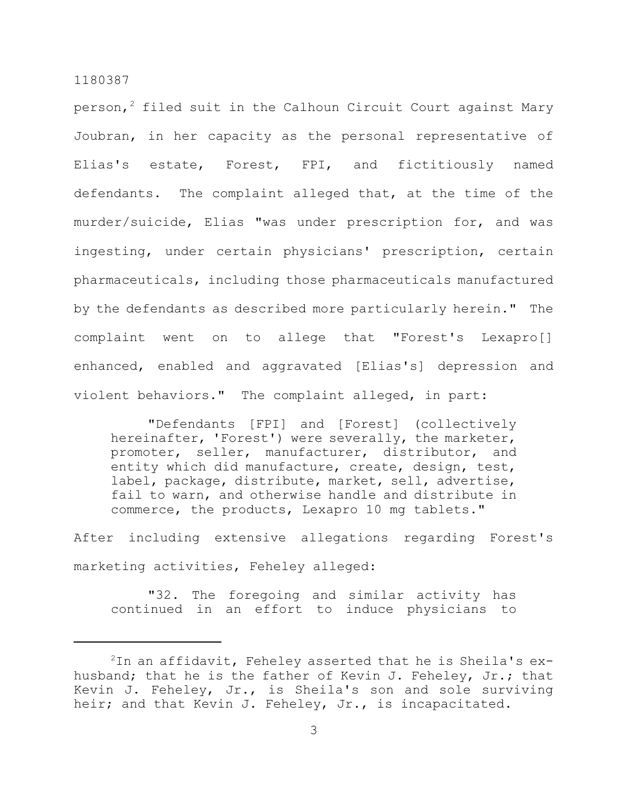person, $^2$  filed suit in the Calhoun Circuit Court against Mary Joubran, in her capacity as the personal representative of Elias's estate, Forest, FPI, and fictitiously named defendants. The complaint alleged that, at the time of the murder/suicide, Elias "was under prescription for, and was ingesting, under certain physicians' prescription, certain pharmaceuticals, including those pharmaceuticals manufactured by the defendants as described more particularly herein." The complaint went on to allege that "Forest's Lexapro[] enhanced, enabled and aggravated [Elias's] depression and violent behaviors." The complaint alleged, in part:

"Defendants [FPI] and [Forest] (collectively hereinafter, 'Forest') were severally, the marketer, promoter, seller, manufacturer, distributor, and entity which did manufacture, create, design, test, label, package, distribute, market, sell, advertise, fail to warn, and otherwise handle and distribute in commerce, the products, Lexapro 10 mg tablets."

After including extensive allegations regarding Forest's marketing activities, Feheley alleged:

"32. The foregoing and similar activity has continued in an effort to induce physicians to

 $2$ In an affidavit, Feheley asserted that he is Sheila's exhusband; that he is the father of Kevin J. Feheley, Jr.; that Kevin J. Feheley, Jr., is Sheila's son and sole surviving heir; and that Kevin J. Feheley, Jr., is incapacitated.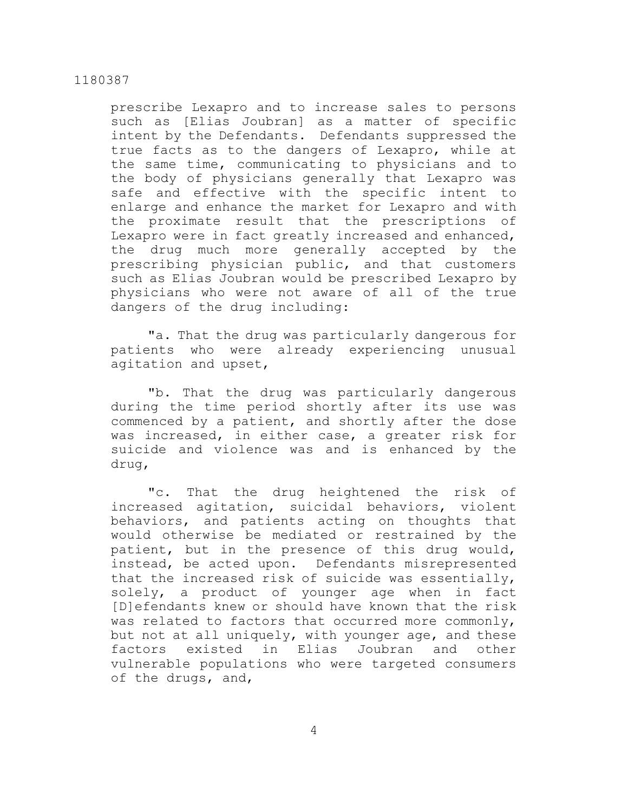prescribe Lexapro and to increase sales to persons such as [Elias Joubran] as a matter of specific intent by the Defendants. Defendants suppressed the true facts as to the dangers of Lexapro, while at the same time, communicating to physicians and to the body of physicians generally that Lexapro was safe and effective with the specific intent to enlarge and enhance the market for Lexapro and with the proximate result that the prescriptions of Lexapro were in fact greatly increased and enhanced, the drug much more generally accepted by the prescribing physician public, and that customers such as Elias Joubran would be prescribed Lexapro by physicians who were not aware of all of the true dangers of the drug including:

"a. That the drug was particularly dangerous for patients who were already experiencing unusual agitation and upset,

"b. That the drug was particularly dangerous during the time period shortly after its use was commenced by a patient, and shortly after the dose was increased, in either case, a greater risk for suicide and violence was and is enhanced by the drug,

"c. That the drug heightened the risk of increased agitation, suicidal behaviors, violent behaviors, and patients acting on thoughts that would otherwise be mediated or restrained by the patient, but in the presence of this drug would, instead, be acted upon. Defendants misrepresented that the increased risk of suicide was essentially, solely, a product of younger age when in fact [D]efendants knew or should have known that the risk was related to factors that occurred more commonly, but not at all uniquely, with younger age, and these factors existed in Elias Joubran and other vulnerable populations who were targeted consumers of the drugs, and,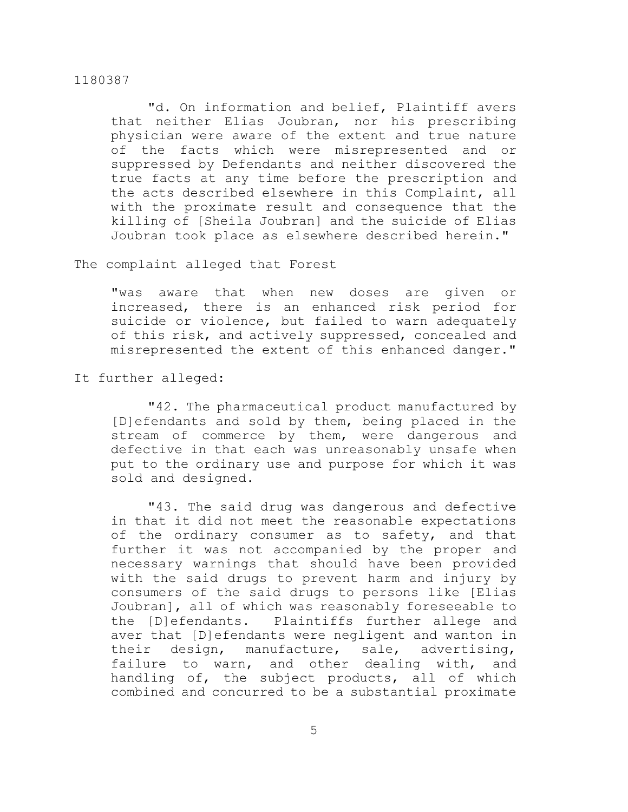"d. On information and belief, Plaintiff avers that neither Elias Joubran, nor his prescribing physician were aware of the extent and true nature of the facts which were misrepresented and or suppressed by Defendants and neither discovered the true facts at any time before the prescription and the acts described elsewhere in this Complaint, all with the proximate result and consequence that the killing of [Sheila Joubran] and the suicide of Elias Joubran took place as elsewhere described herein."

## The complaint alleged that Forest

"was aware that when new doses are given or increased, there is an enhanced risk period for suicide or violence, but failed to warn adequately of this risk, and actively suppressed, concealed and misrepresented the extent of this enhanced danger."

# It further alleged:

"42. The pharmaceutical product manufactured by [D]efendants and sold by them, being placed in the stream of commerce by them, were dangerous and defective in that each was unreasonably unsafe when put to the ordinary use and purpose for which it was sold and designed.

"43. The said drug was dangerous and defective in that it did not meet the reasonable expectations of the ordinary consumer as to safety, and that further it was not accompanied by the proper and necessary warnings that should have been provided with the said drugs to prevent harm and injury by consumers of the said drugs to persons like [Elias Joubran], all of which was reasonably foreseeable to the [D]efendants. Plaintiffs further allege and aver that [D]efendants were negligent and wanton in their design, manufacture, sale, advertising, failure to warn, and other dealing with, and handling of, the subject products, all of which combined and concurred to be a substantial proximate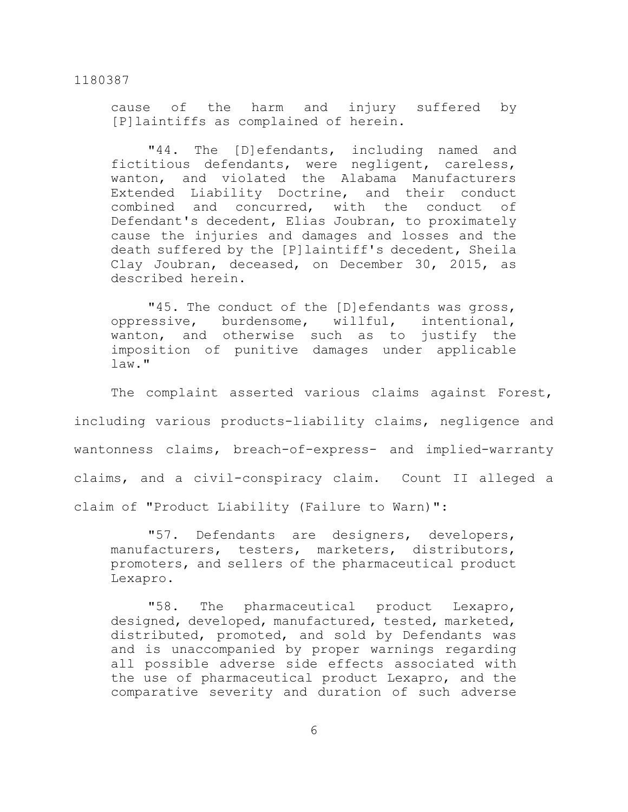cause of the harm and injury suffered by [P]laintiffs as complained of herein.

"44. The [D]efendants, including named and fictitious defendants, were negligent, careless, wanton, and violated the Alabama Manufacturers Extended Liability Doctrine, and their conduct combined and concurred, with the conduct of Defendant's decedent, Elias Joubran, to proximately cause the injuries and damages and losses and the death suffered by the [P]laintiff's decedent, Sheila Clay Joubran, deceased, on December 30, 2015, as described herein.

"45. The conduct of the [D]efendants was gross, oppressive, burdensome, willful, intentional, wanton, and otherwise such as to justify the imposition of punitive damages under applicable  $law.$ "

The complaint asserted various claims against Forest, including various products-liability claims, negligence and wantonness claims, breach-of-express- and implied-warranty claims, and a civil-conspiracy claim. Count II alleged a claim of "Product Liability (Failure to Warn)":

"57. Defendants are designers, developers, manufacturers, testers, marketers, distributors, promoters, and sellers of the pharmaceutical product Lexapro.

"58. The pharmaceutical product Lexapro, designed, developed, manufactured, tested, marketed, distributed, promoted, and sold by Defendants was and is unaccompanied by proper warnings regarding all possible adverse side effects associated with the use of pharmaceutical product Lexapro, and the comparative severity and duration of such adverse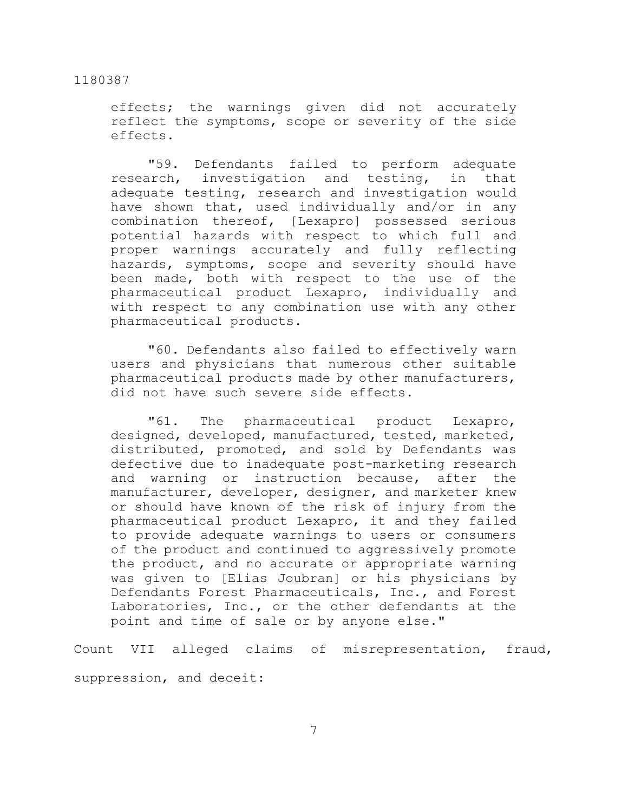effects; the warnings given did not accurately reflect the symptoms, scope or severity of the side effects.

"59. Defendants failed to perform adequate research, investigation and testing, in that adequate testing, research and investigation would have shown that, used individually and/or in any combination thereof, [Lexapro] possessed serious potential hazards with respect to which full and proper warnings accurately and fully reflecting hazards, symptoms, scope and severity should have been made, both with respect to the use of the pharmaceutical product Lexapro, individually and with respect to any combination use with any other pharmaceutical products.

"60. Defendants also failed to effectively warn users and physicians that numerous other suitable pharmaceutical products made by other manufacturers, did not have such severe side effects.

"61. The pharmaceutical product Lexapro, designed, developed, manufactured, tested, marketed, distributed, promoted, and sold by Defendants was defective due to inadequate post-marketing research and warning or instruction because, after the manufacturer, developer, designer, and marketer knew or should have known of the risk of injury from the pharmaceutical product Lexapro, it and they failed to provide adequate warnings to users or consumers of the product and continued to aggressively promote the product, and no accurate or appropriate warning was given to [Elias Joubran] or his physicians by Defendants Forest Pharmaceuticals, Inc., and Forest Laboratories, Inc., or the other defendants at the point and time of sale or by anyone else."

Count VII alleged claims of misrepresentation, fraud, suppression, and deceit: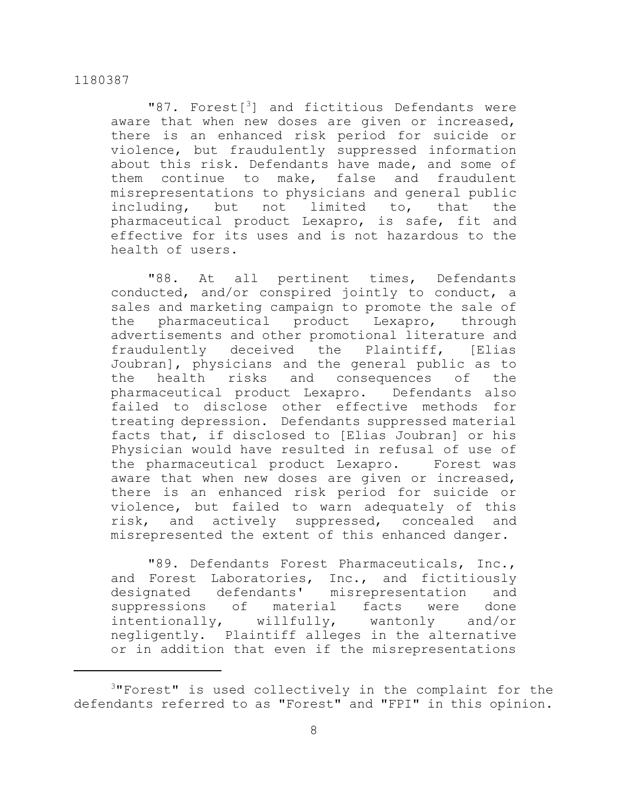"87. Forest<sup>3</sup>] and fictitious Defendants were aware that when new doses are given or increased, there is an enhanced risk period for suicide or violence, but fraudulently suppressed information about this risk. Defendants have made, and some of them continue to make, false and fraudulent misrepresentations to physicians and general public including, but not limited to, that the pharmaceutical product Lexapro, is safe, fit and effective for its uses and is not hazardous to the health of users.

"88. At all pertinent times, Defendants conducted, and/or conspired jointly to conduct, a sales and marketing campaign to promote the sale of the pharmaceutical product Lexapro, through advertisements and other promotional literature and fraudulently deceived the Plaintiff, [Elias Joubran], physicians and the general public as to the health risks and consequences of the pharmaceutical product Lexapro. Defendants also failed to disclose other effective methods for treating depression. Defendants suppressed material facts that, if disclosed to [Elias Joubran] or his Physician would have resulted in refusal of use of the pharmaceutical product Lexapro. Forest was aware that when new doses are given or increased, there is an enhanced risk period for suicide or violence, but failed to warn adequately of this risk, and actively suppressed, concealed and misrepresented the extent of this enhanced danger.

"89. Defendants Forest Pharmaceuticals, Inc., and Forest Laboratories, Inc., and fictitiously designated defendants' misrepresentation and suppressions of material facts were done intentionally, willfully, wantonly and/or negligently. Plaintiff alleges in the alternative or in addition that even if the misrepresentations

<sup>3</sup>"Forest" is used collectively in the complaint for the defendants referred to as "Forest" and "FPI" in this opinion.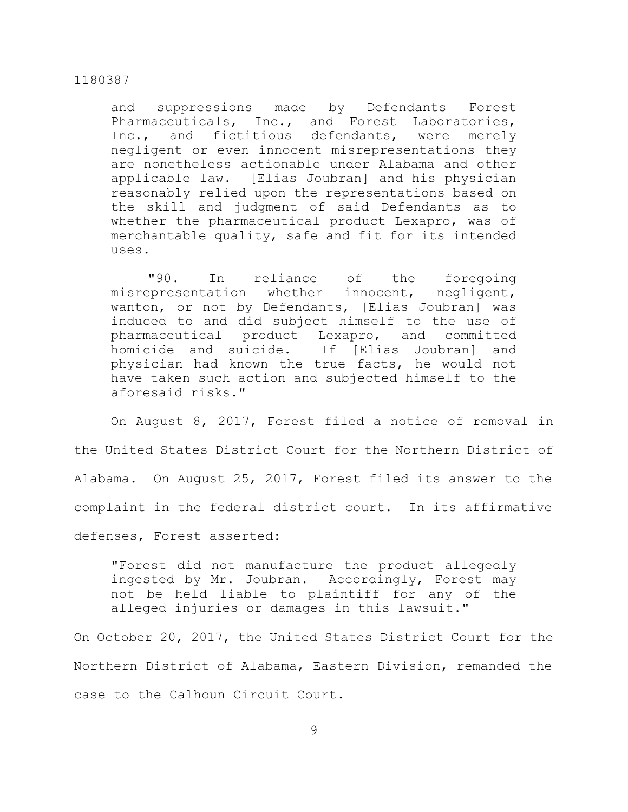and suppressions made by Defendants Forest Pharmaceuticals, Inc., and Forest Laboratories, Inc., and fictitious defendants, were merely negligent or even innocent misrepresentations they are nonetheless actionable under Alabama and other applicable law. [Elias Joubran] and his physician reasonably relied upon the representations based on the skill and judgment of said Defendants as to whether the pharmaceutical product Lexapro, was of merchantable quality, safe and fit for its intended uses.

"90. In reliance of the foregoing misrepresentation whether innocent, negligent, wanton, or not by Defendants, [Elias Joubran] was induced to and did subject himself to the use of pharmaceutical product Lexapro, and committed homicide and suicide. If [Elias Joubran] and physician had known the true facts, he would not have taken such action and subjected himself to the aforesaid risks."

On August 8, 2017, Forest filed a notice of removal in the United States District Court for the Northern District of Alabama. On August 25, 2017, Forest filed its answer to the complaint in the federal district court. In its affirmative defenses, Forest asserted:

"Forest did not manufacture the product allegedly ingested by Mr. Joubran. Accordingly, Forest may not be held liable to plaintiff for any of the alleged injuries or damages in this lawsuit."

On October 20, 2017, the United States District Court for the Northern District of Alabama, Eastern Division, remanded the case to the Calhoun Circuit Court.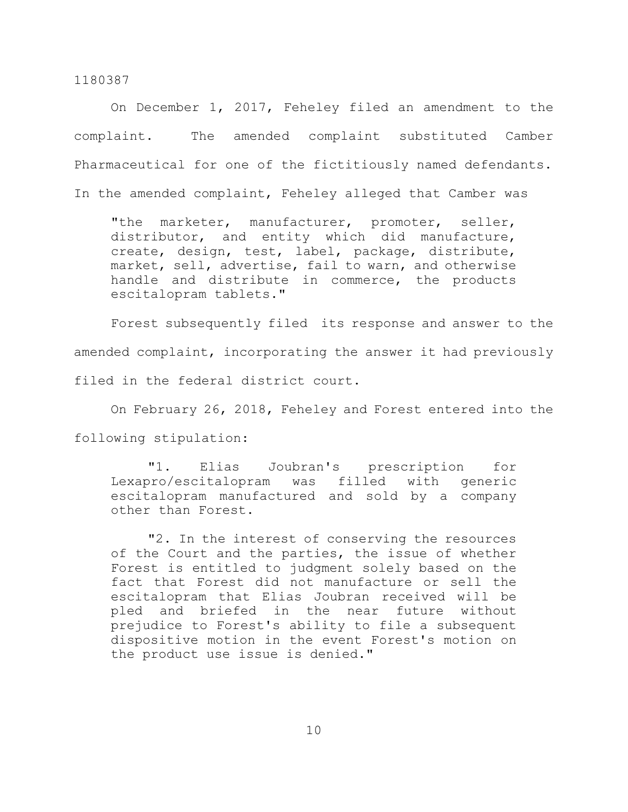On December 1, 2017, Feheley filed an amendment to the complaint. The amended complaint substituted Camber Pharmaceutical for one of the fictitiously named defendants. In the amended complaint, Feheley alleged that Camber was

"the marketer, manufacturer, promoter, seller, distributor, and entity which did manufacture, create, design, test, label, package, distribute, market, sell, advertise, fail to warn, and otherwise handle and distribute in commerce, the products escitalopram tablets."

Forest subsequently filed its response and answer to the amended complaint, incorporating the answer it had previously filed in the federal district court.

On February 26, 2018, Feheley and Forest entered into the following stipulation:

"1. Elias Joubran's prescription for Lexapro/escitalopram was filled with generic escitalopram manufactured and sold by a company other than Forest.

"2. In the interest of conserving the resources of the Court and the parties, the issue of whether Forest is entitled to judgment solely based on the fact that Forest did not manufacture or sell the escitalopram that Elias Joubran received will be pled and briefed in the near future without prejudice to Forest's ability to file a subsequent dispositive motion in the event Forest's motion on the product use issue is denied."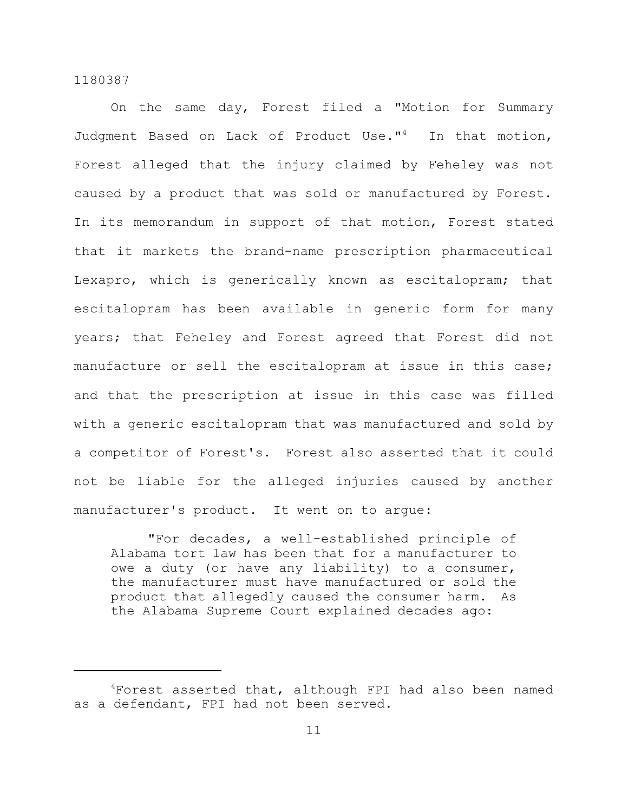On the same day, Forest filed a "Motion for Summary Judgment Based on Lack of Product Use."<sup>4</sup> In that motion, Forest alleged that the injury claimed by Feheley was not caused by a product that was sold or manufactured by Forest. In its memorandum in support of that motion, Forest stated that it markets the brand-name prescription pharmaceutical Lexapro, which is generically known as escitalopram; that escitalopram has been available in generic form for many years; that Feheley and Forest agreed that Forest did not manufacture or sell the escitalopram at issue in this case; and that the prescription at issue in this case was filled with a generic escitalopram that was manufactured and sold by a competitor of Forest's. Forest also asserted that it could not be liable for the alleged injuries caused by another manufacturer's product. It went on to argue:

"For decades, a well-established principle of Alabama tort law has been that for a manufacturer to owe a duty (or have any liability) to a consumer, the manufacturer must have manufactured or sold the product that allegedly caused the consumer harm. As the Alabama Supreme Court explained decades ago:

<sup>&</sup>lt;sup>4</sup>Forest asserted that, although FPI had also been named as a defendant, FPI had not been served.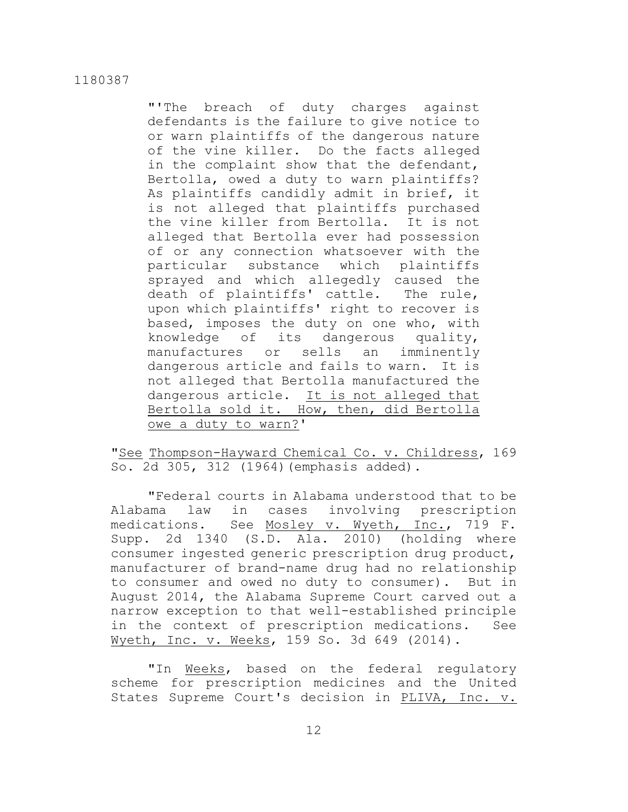"'The breach of duty charges against defendants is the failure to give notice to or warn plaintiffs of the dangerous nature of the vine killer. Do the facts alleged in the complaint show that the defendant, Bertolla, owed a duty to warn plaintiffs? As plaintiffs candidly admit in brief, it is not alleged that plaintiffs purchased the vine killer from Bertolla. It is not alleged that Bertolla ever had possession of or any connection whatsoever with the particular substance which plaintiffs sprayed and which allegedly caused the death of plaintiffs' cattle. The rule, upon which plaintiffs' right to recover is based, imposes the duty on one who, with knowledge of its dangerous quality, manufactures or sells an imminently dangerous article and fails to warn. It is not alleged that Bertolla manufactured the dangerous article. It is not alleged that Bertolla sold it. How, then, did Bertolla owe a duty to warn?'

"See Thompson-Hayward Chemical Co. v. Childress, 169 So. 2d 305, 312 (1964)(emphasis added).

"Federal courts in Alabama understood that to be Alabama law in cases involving prescription medications. See Mosley v. Wyeth, Inc., 719 F. Supp. 2d 1340 (S.D. Ala. 2010) (holding where consumer ingested generic prescription drug product, manufacturer of brand-name drug had no relationship to consumer and owed no duty to consumer). But in August 2014, the Alabama Supreme Court carved out a narrow exception to that well-established principle in the context of prescription medications. See Wyeth, Inc. v. Weeks, 159 So. 3d 649 (2014).

"In Weeks, based on the federal regulatory scheme for prescription medicines and the United States Supreme Court's decision in PLIVA, Inc. v.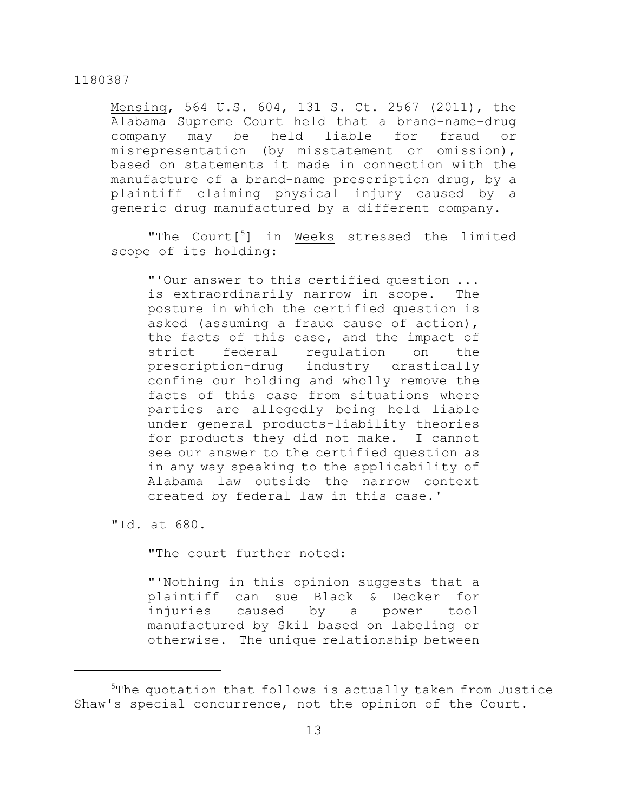Mensing, 564 U.S. 604, 131 S. Ct. 2567 (2011), the Alabama Supreme Court held that a brand-name-drug company may be held liable for fraud or misrepresentation (by misstatement or omission), based on statements it made in connection with the manufacture of a brand-name prescription drug, by a plaintiff claiming physical injury caused by a generic drug manufactured by a different company.

"The Court<sup>[5</sup>] in Weeks stressed the limited scope of its holding:

"'Our answer to this certified question ... is extraordinarily narrow in scope. The posture in which the certified question is asked (assuming a fraud cause of action), the facts of this case, and the impact of strict federal regulation on the prescription-drug industry drastically confine our holding and wholly remove the facts of this case from situations where parties are allegedly being held liable under general products-liability theories for products they did not make. I cannot see our answer to the certified question as in any way speaking to the applicability of Alabama law outside the narrow context created by federal law in this case.'

"Id. at 680.

"The court further noted:

"'Nothing in this opinion suggests that a plaintiff can sue Black & Decker for injuries caused by a power tool manufactured by Skil based on labeling or otherwise. The unique relationship between

<sup>5</sup>The quotation that follows is actually taken from Justice Shaw's special concurrence, not the opinion of the Court.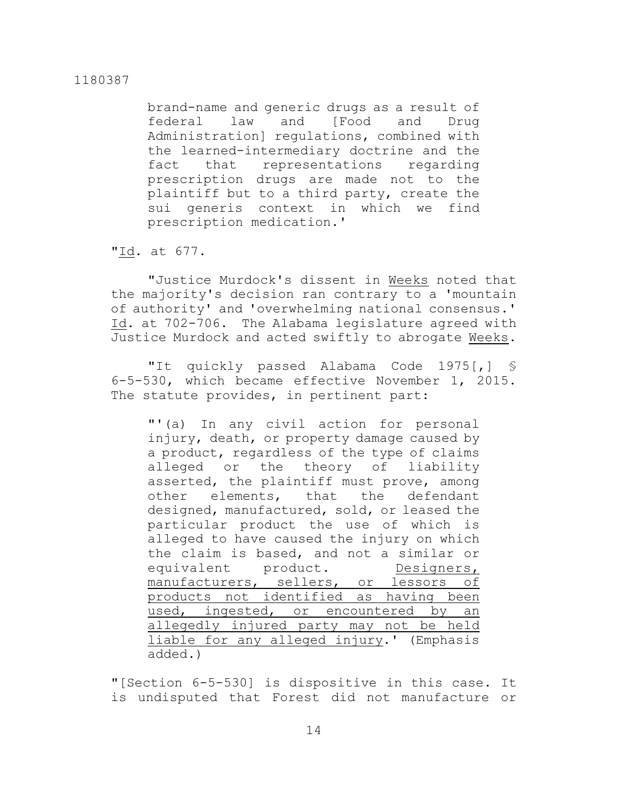brand-name and generic drugs as a result of federal law and [Food and Drug Administration] regulations, combined with the learned-intermediary doctrine and the fact that representations regarding prescription drugs are made not to the plaintiff but to a third party, create the sui generis context in which we find prescription medication.'

"Id. at 677.

"Justice Murdock's dissent in Weeks noted that the majority's decision ran contrary to a 'mountain of authority' and 'overwhelming national consensus.' Id. at 702-706. The Alabama legislature agreed with Justice Murdock and acted swiftly to abrogate Weeks.

"It quickly passed Alabama Code 1975[,] § 6-5-530, which became effective November 1, 2015. The statute provides, in pertinent part:

"'(a) In any civil action for personal injury, death, or property damage caused by a product, regardless of the type of claims alleged or the theory of liability asserted, the plaintiff must prove, among other elements, that the defendant designed, manufactured, sold, or leased the particular product the use of which is alleged to have caused the injury on which the claim is based, and not a similar or equivalent product. Designers, manufacturers, sellers, or lessors of products not identified as having been used, ingested, or encountered by an allegedly injured party may not be held liable for any alleged injury.' (Emphasis added.)

"[Section 6-5-530] is dispositive in this case. It is undisputed that Forest did not manufacture or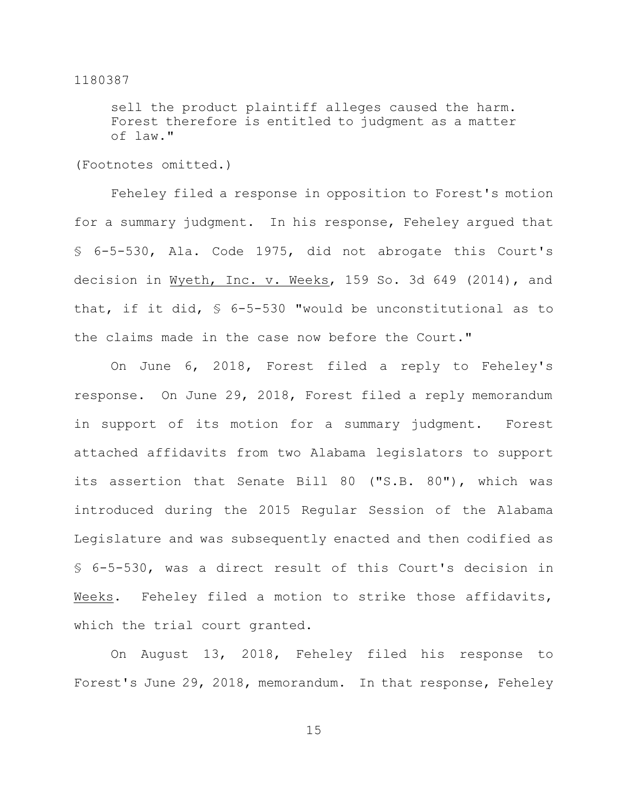sell the product plaintiff alleges caused the harm. Forest therefore is entitled to judgment as a matter of law."

(Footnotes omitted.)

Feheley filed a response in opposition to Forest's motion for a summary judgment. In his response, Feheley argued that § 6-5-530, Ala. Code 1975, did not abrogate this Court's decision in Wyeth, Inc. v. Weeks, 159 So. 3d 649 (2014), and that, if it did, § 6-5-530 "would be unconstitutional as to the claims made in the case now before the Court."

On June 6, 2018, Forest filed a reply to Feheley's response. On June 29, 2018, Forest filed a reply memorandum in support of its motion for a summary judgment. Forest attached affidavits from two Alabama legislators to support its assertion that Senate Bill 80 ("S.B. 80"), which was introduced during the 2015 Regular Session of the Alabama Legislature and was subsequently enacted and then codified as § 6-5-530, was a direct result of this Court's decision in Weeks. Feheley filed a motion to strike those affidavits, which the trial court granted.

On August 13, 2018, Feheley filed his response to Forest's June 29, 2018, memorandum. In that response, Feheley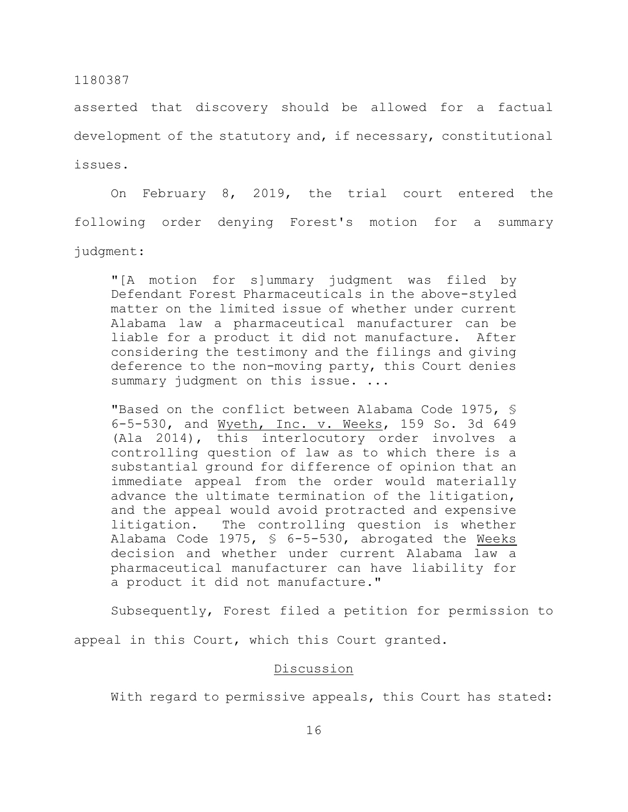asserted that discovery should be allowed for a factual development of the statutory and, if necessary, constitutional issues.

On February 8, 2019, the trial court entered the following order denying Forest's motion for a summary judgment:

"[A motion for s]ummary judgment was filed by Defendant Forest Pharmaceuticals in the above-styled matter on the limited issue of whether under current Alabama law a pharmaceutical manufacturer can be liable for a product it did not manufacture. After considering the testimony and the filings and giving deference to the non-moving party, this Court denies summary judgment on this issue. ...

"Based on the conflict between Alabama Code 1975, § 6-5-530, and Wyeth, Inc. v. Weeks, 159 So. 3d 649 (Ala 2014), this interlocutory order involves a controlling question of law as to which there is a substantial ground for difference of opinion that an immediate appeal from the order would materially advance the ultimate termination of the litigation, and the appeal would avoid protracted and expensive litigation. The controlling question is whether Alabama Code 1975, § 6-5-530, abrogated the Weeks decision and whether under current Alabama law a pharmaceutical manufacturer can have liability for a product it did not manufacture."

Subsequently, Forest filed a petition for permission to appeal in this Court, which this Court granted.

## Discussion

With regard to permissive appeals, this Court has stated: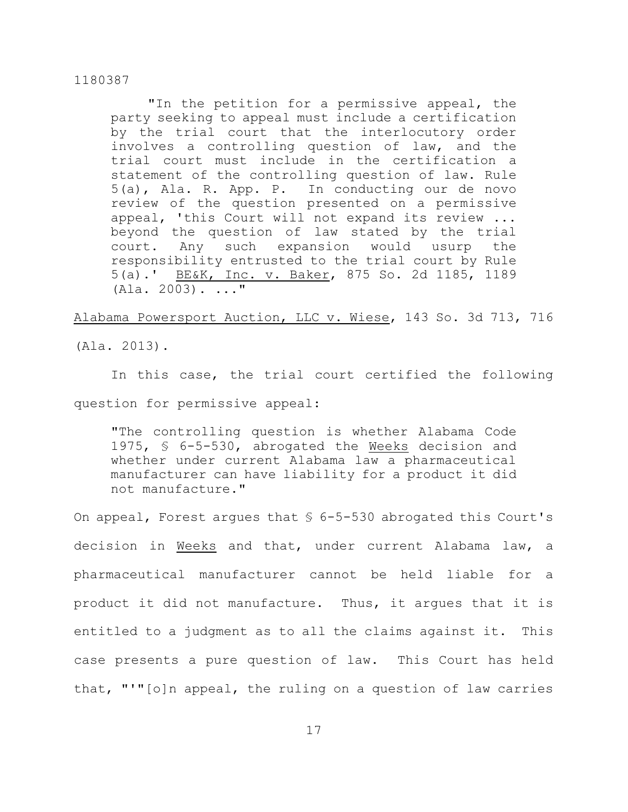"In the petition for a permissive appeal, the party seeking to appeal must include a certification by the trial court that the interlocutory order involves a controlling question of law, and the trial court must include in the certification a statement of the controlling question of law. Rule 5(a), Ala. R. App. P. In conducting our de novo review of the question presented on a permissive appeal, 'this Court will not expand its review ... beyond the question of law stated by the trial court. Any such expansion would usurp the responsibility entrusted to the trial court by Rule 5(a).' BE&K, Inc. v. Baker, 875 So. 2d 1185, 1189  $(A la. 2003) . . . . ''$ 

Alabama Powersport Auction, LLC v. Wiese, 143 So. 3d 713, 716

(Ala. 2013).

In this case, the trial court certified the following question for permissive appeal:

"The controlling question is whether Alabama Code 1975, § 6-5-530, abrogated the Weeks decision and whether under current Alabama law a pharmaceutical manufacturer can have liability for a product it did not manufacture."

On appeal, Forest argues that  $\frac{1}{5}$  6-5-530 abrogated this Court's decision in Weeks and that, under current Alabama law, a pharmaceutical manufacturer cannot be held liable for a product it did not manufacture. Thus, it argues that it is entitled to a judgment as to all the claims against it. This case presents a pure question of law. This Court has held that, "'"[o]n appeal, the ruling on a question of law carries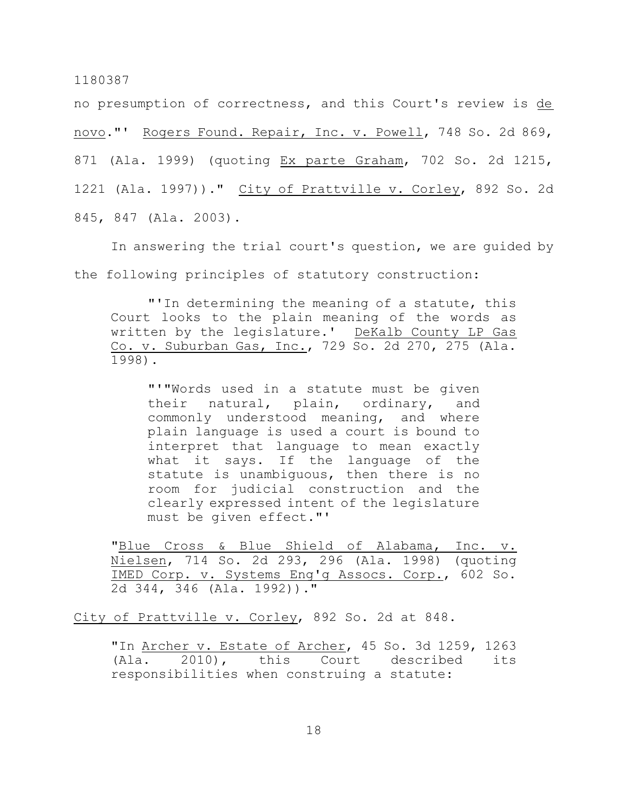no presumption of correctness, and this Court's review is de novo."' Rogers Found. Repair, Inc. v. Powell, 748 So. 2d 869, 871 (Ala. 1999) (quoting Ex parte Graham, 702 So. 2d 1215, 1221 (Ala. 1997))." City of Prattville v. Corley, 892 So. 2d 845, 847 (Ala. 2003).

In answering the trial court's question, we are guided by the following principles of statutory construction:

"'In determining the meaning of a statute, this Court looks to the plain meaning of the words as written by the legislature.' DeKalb County LP Gas Co. v. Suburban Gas, Inc., 729 So. 2d 270, 275 (Ala. 1998).

"'"Words used in a statute must be given their natural, plain, ordinary, and commonly understood meaning, and where plain language is used a court is bound to interpret that language to mean exactly what it says. If the language of the statute is unambiguous, then there is no room for judicial construction and the clearly expressed intent of the legislature must be given effect."'

"Blue Cross & Blue Shield of Alabama, Inc. v. Nielsen, 714 So. 2d 293, 296 (Ala. 1998) (quoting IMED Corp. v. Systems Eng'g Assocs. Corp., 602 So. 2d 344, 346 (Ala. 1992))."

City of Prattville v. Corley, 892 So. 2d at 848.

"In Archer v. Estate of Archer, 45 So. 3d 1259, 1263 (Ala. 2010), this Court described its responsibilities when construing a statute: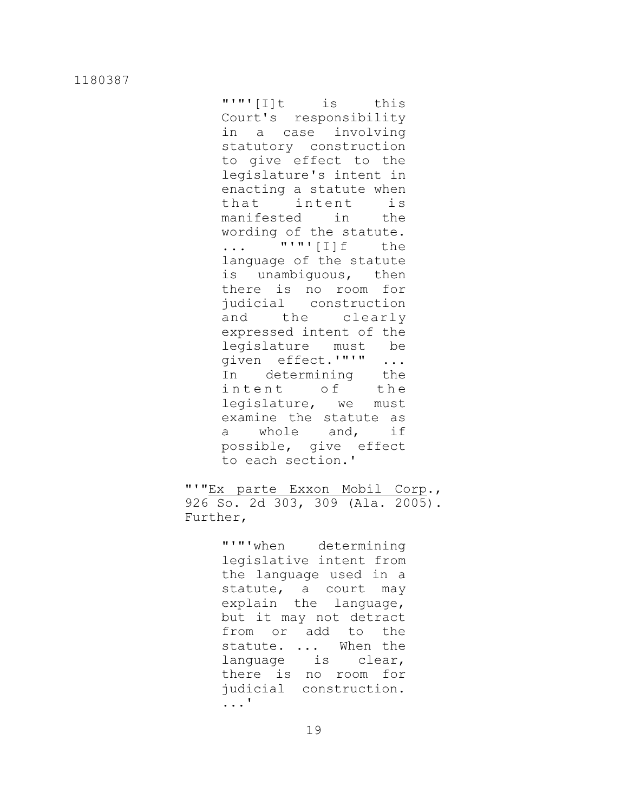"'"'[I]t is this Court's responsibility in a case involving statutory construction to give effect to the legislature's intent in enacting a statute when that intent is manifested in the wording of the statute. ... "'"'[I]f the language of the statute is unambiguous, then there is no room for judicial construction and the clearly expressed intent of the legislature must be given effect.'"'" ... In determining the intent of the legislature, we must examine the statute as a whole and, if possible, give effect to each section.'

"'"Ex parte Exxon Mobil Corp., 926 So. 2d 303, 309 (Ala. 2005). Further,

> "'"'when determining legislative intent from the language used in a statute, a court may explain the language, but it may not detract from or add to the statute. ... When the language is clear, there is no room for judicial construction. ...'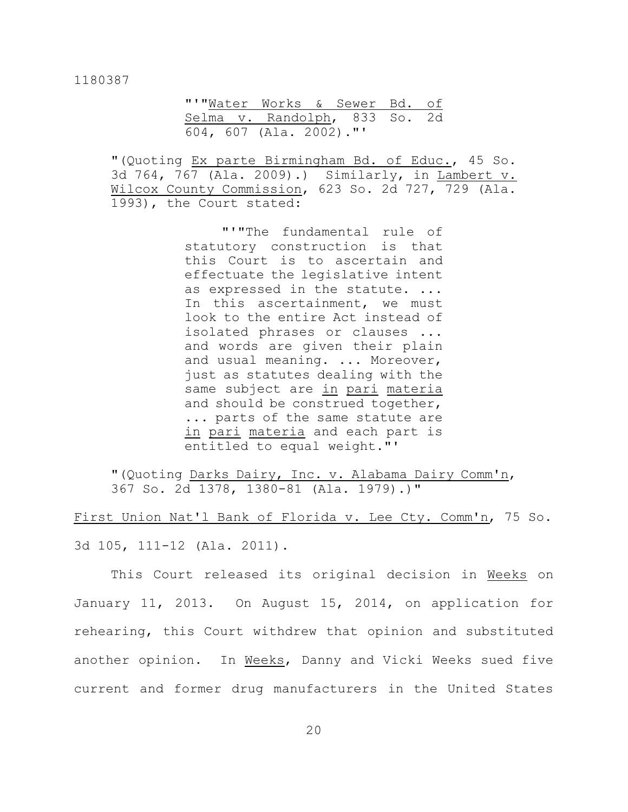|  |                         | "'"Water Works & Sewer Bd. of |  |
|--|-------------------------|-------------------------------|--|
|  |                         | Selma v. Randolph, 833 So. 2d |  |
|  | 604, 607 (Ala. 2002)."' |                               |  |

"(Quoting Ex parte Birmingham Bd. of Educ., 45 So. 3d 764, 767 (Ala. 2009).) Similarly, in Lambert v. Wilcox County Commission, 623 So. 2d 727, 729 (Ala. 1993), the Court stated:

> "'"The fundamental rule of statutory construction is that this Court is to ascertain and effectuate the legislative intent as expressed in the statute. ... In this ascertainment, we must look to the entire Act instead of isolated phrases or clauses ... and words are given their plain and usual meaning. ... Moreover, just as statutes dealing with the same subject are in pari materia and should be construed together, ... parts of the same statute are in pari materia and each part is entitled to equal weight."'

"(Quoting Darks Dairy, Inc. v. Alabama Dairy Comm'n, 367 So. 2d 1378, 1380-81 (Ala. 1979).)"

First Union Nat'l Bank of Florida v. Lee Cty. Comm'n, 75 So. 3d 105, 111-12 (Ala. 2011).

This Court released its original decision in Weeks on January 11, 2013. On August 15, 2014, on application for rehearing, this Court withdrew that opinion and substituted another opinion. In Weeks, Danny and Vicki Weeks sued five current and former drug manufacturers in the United States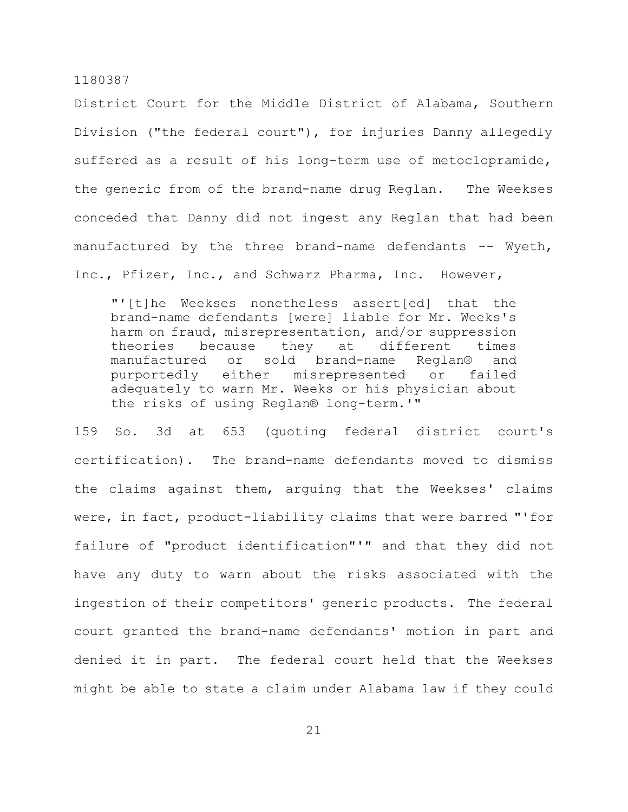District Court for the Middle District of Alabama, Southern Division ("the federal court"), for injuries Danny allegedly suffered as a result of his long-term use of metoclopramide, the generic from of the brand-name drug Reglan. The Weekses conceded that Danny did not ingest any Reglan that had been manufactured by the three brand-name defendants  $-$ - Wyeth, Inc., Pfizer, Inc., and Schwarz Pharma, Inc. However,

"'[t]he Weekses nonetheless assert[ed] that the brand-name defendants [were] liable for Mr. Weeks's harm on fraud, misrepresentation, and/or suppression theories because they at different times manufactured or sold brand-name Reglan® and purportedly either misrepresented or failed adequately to warn Mr. Weeks or his physician about the risks of using Reglan® long-term.'"

159 So. 3d at 653 (quoting federal district court's certification). The brand-name defendants moved to dismiss the claims against them, arguing that the Weekses' claims were, in fact, product-liability claims that were barred "'for failure of "product identification"'" and that they did not have any duty to warn about the risks associated with the ingestion of their competitors' generic products. The federal court granted the brand-name defendants' motion in part and denied it in part. The federal court held that the Weekses might be able to state a claim under Alabama law if they could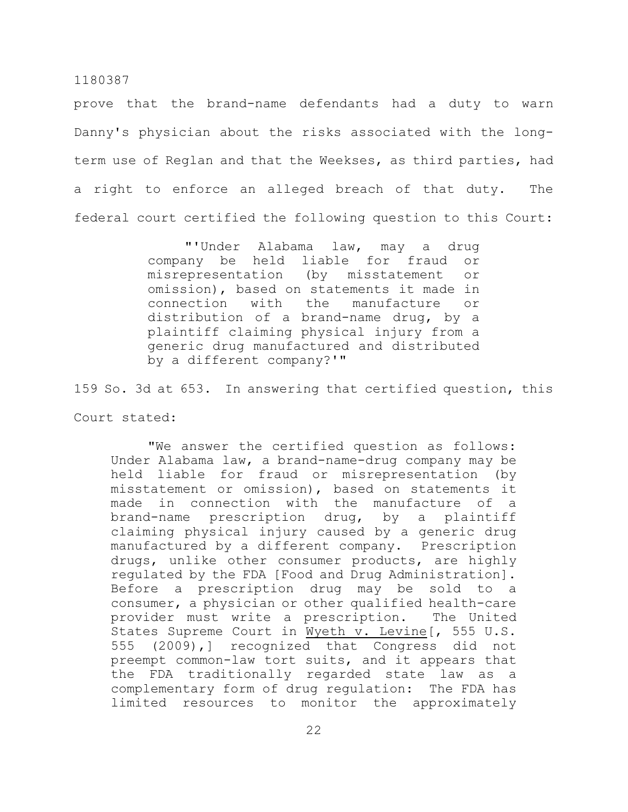prove that the brand-name defendants had a duty to warn Danny's physician about the risks associated with the longterm use of Reglan and that the Weekses, as third parties, had a right to enforce an alleged breach of that duty. The federal court certified the following question to this Court:

> "'Under Alabama law, may a drug company be held liable for fraud or misrepresentation (by misstatement or omission), based on statements it made in connection with the manufacture or distribution of a brand-name drug, by a plaintiff claiming physical injury from a generic drug manufactured and distributed by a different company?'"

159 So. 3d at 653. In answering that certified question, this Court stated:

"We answer the certified question as follows: Under Alabama law, a brand-name-drug company may be held liable for fraud or misrepresentation (by misstatement or omission), based on statements it made in connection with the manufacture of a brand-name prescription drug, by a plaintiff claiming physical injury caused by a generic drug manufactured by a different company. Prescription drugs, unlike other consumer products, are highly regulated by the FDA [Food and Drug Administration]. Before a prescription drug may be sold to a consumer, a physician or other qualified health-care provider must write a prescription. The United States Supreme Court in Wyeth v. Levine[, 555 U.S. 555 (2009),] recognized that Congress did not preempt common-law tort suits, and it appears that the FDA traditionally regarded state law as a complementary form of drug regulation: The FDA has limited resources to monitor the approximately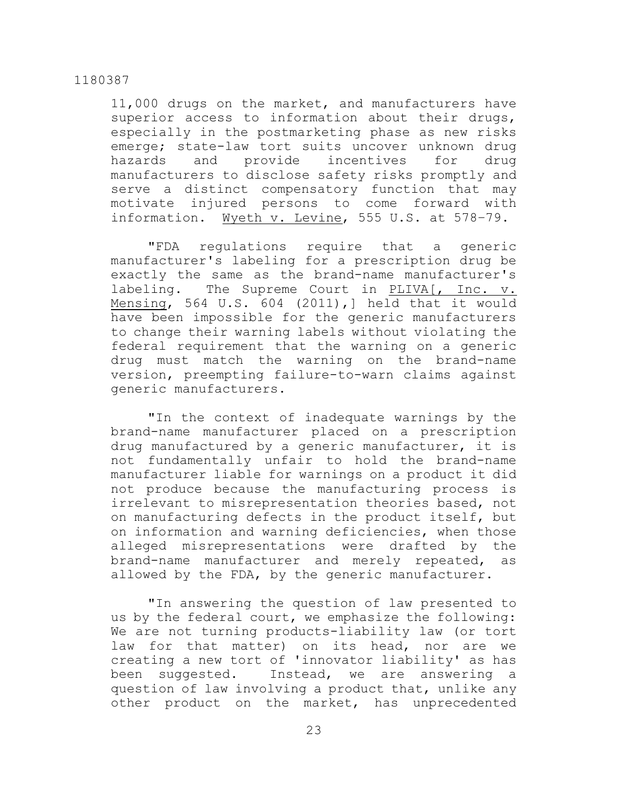11,000 drugs on the market, and manufacturers have superior access to information about their drugs, especially in the postmarketing phase as new risks emerge; state-law tort suits uncover unknown drug hazards and provide incentives for drug manufacturers to disclose safety risks promptly and serve a distinct compensatory function that may motivate injured persons to come forward with information. Wyeth v. Levine, 555 U.S. at 578–79.

"FDA regulations require that a generic manufacturer's labeling for a prescription drug be exactly the same as the brand-name manufacturer's labeling. The Supreme Court in PLIVA[, Inc. v. Mensing, 564 U.S. 604 (2011),] held that it would have been impossible for the generic manufacturers to change their warning labels without violating the federal requirement that the warning on a generic drug must match the warning on the brand-name version, preempting failure-to-warn claims against generic manufacturers.

"In the context of inadequate warnings by the brand-name manufacturer placed on a prescription drug manufactured by a generic manufacturer, it is not fundamentally unfair to hold the brand-name manufacturer liable for warnings on a product it did not produce because the manufacturing process is irrelevant to misrepresentation theories based, not on manufacturing defects in the product itself, but on information and warning deficiencies, when those alleged misrepresentations were drafted by the brand-name manufacturer and merely repeated, as allowed by the FDA, by the generic manufacturer.

"In answering the question of law presented to us by the federal court, we emphasize the following: We are not turning products-liability law (or tort law for that matter) on its head, nor are we creating a new tort of 'innovator liability' as has been suggested. Instead, we are answering a question of law involving a product that, unlike any other product on the market, has unprecedented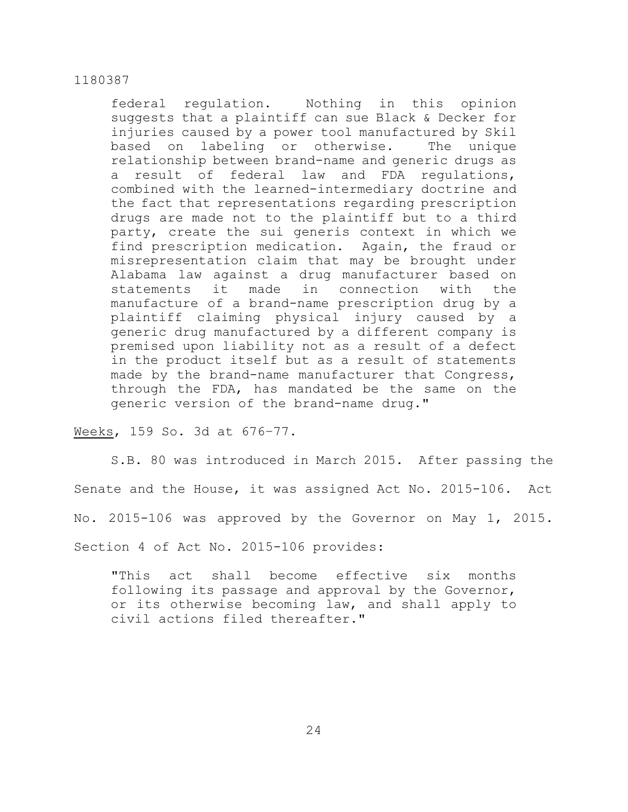federal regulation. Nothing in this opinion suggests that a plaintiff can sue Black & Decker for injuries caused by a power tool manufactured by Skil based on labeling or otherwise. The unique relationship between brand-name and generic drugs as a result of federal law and FDA regulations, combined with the learned-intermediary doctrine and the fact that representations regarding prescription drugs are made not to the plaintiff but to a third party, create the sui generis context in which we find prescription medication. Again, the fraud or misrepresentation claim that may be brought under Alabama law against a drug manufacturer based on statements it made in connection with the manufacture of a brand-name prescription drug by a plaintiff claiming physical injury caused by a generic drug manufactured by a different company is premised upon liability not as a result of a defect in the product itself but as a result of statements made by the brand-name manufacturer that Congress, through the FDA, has mandated be the same on the generic version of the brand-name drug."

Weeks, 159 So. 3d at 676–77.

S.B. 80 was introduced in March 2015. After passing the Senate and the House, it was assigned Act No. 2015-106. Act No. 2015-106 was approved by the Governor on May 1, 2015. Section 4 of Act No. 2015-106 provides:

"This act shall become effective six months following its passage and approval by the Governor, or its otherwise becoming law, and shall apply to civil actions filed thereafter."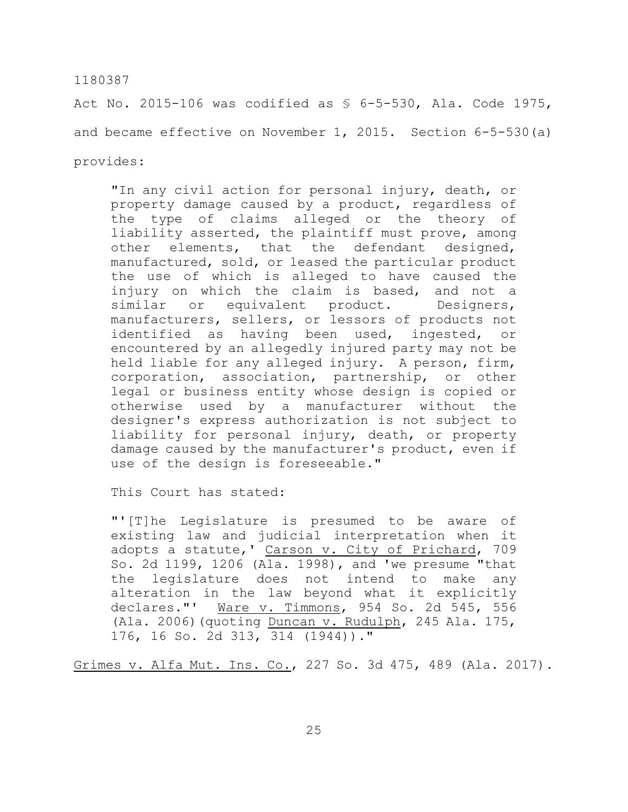Act No. 2015-106 was codified as § 6-5-530, Ala. Code 1975, and became effective on November 1, 2015. Section 6-5-530(a) provides:

"In any civil action for personal injury, death, or property damage caused by a product, regardless of the type of claims alleged or the theory of liability asserted, the plaintiff must prove, among other elements, that the defendant designed, manufactured, sold, or leased the particular product the use of which is alleged to have caused the injury on which the claim is based, and not a similar or equivalent product. Designers, manufacturers, sellers, or lessors of products not identified as having been used, ingested, or encountered by an allegedly injured party may not be held liable for any alleged injury. A person, firm, corporation, association, partnership, or other legal or business entity whose design is copied or otherwise used by a manufacturer without the designer's express authorization is not subject to liability for personal injury, death, or property damage caused by the manufacturer's product, even if use of the design is foreseeable."

This Court has stated:

"'[T]he Legislature is presumed to be aware of existing law and judicial interpretation when it adopts a statute, ' Carson v. City of Prichard, 709 So. 2d 1199, 1206 (Ala. 1998), and 'we presume "that the legislature does not intend to make any alteration in the law beyond what it explicitly declares."' Ware v. Timmons, 954 So. 2d 545, 556 (Ala. 2006)(quoting Duncan v. Rudulph, 245 Ala. 175, 176, 16 So. 2d 313, 314 (1944))."

Grimes v. Alfa Mut. Ins. Co., 227 So. 3d 475, 489 (Ala. 2017).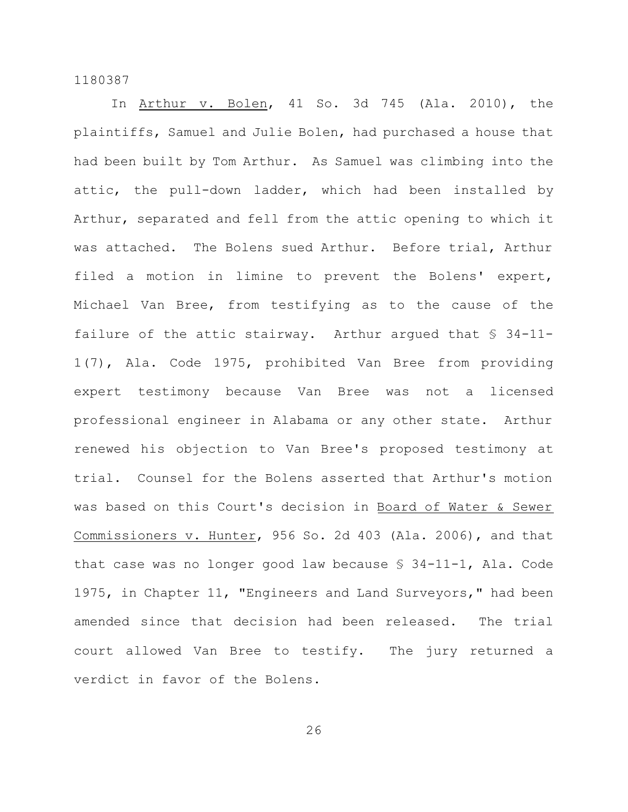In Arthur v. Bolen, 41 So. 3d 745 (Ala. 2010), the plaintiffs, Samuel and Julie Bolen, had purchased a house that had been built by Tom Arthur. As Samuel was climbing into the attic, the pull-down ladder, which had been installed by Arthur, separated and fell from the attic opening to which it was attached. The Bolens sued Arthur. Before trial, Arthur filed a motion in limine to prevent the Bolens' expert, Michael Van Bree, from testifying as to the cause of the failure of the attic stairway. Arthur argued that § 34-11- 1(7), Ala. Code 1975, prohibited Van Bree from providing expert testimony because Van Bree was not a licensed professional engineer in Alabama or any other state. Arthur renewed his objection to Van Bree's proposed testimony at trial. Counsel for the Bolens asserted that Arthur's motion was based on this Court's decision in Board of Water & Sewer Commissioners v. Hunter, 956 So. 2d 403 (Ala. 2006), and that that case was no longer good law because § 34-11-1, Ala. Code 1975, in Chapter 11, "Engineers and Land Surveyors," had been amended since that decision had been released. The trial court allowed Van Bree to testify. The jury returned a verdict in favor of the Bolens.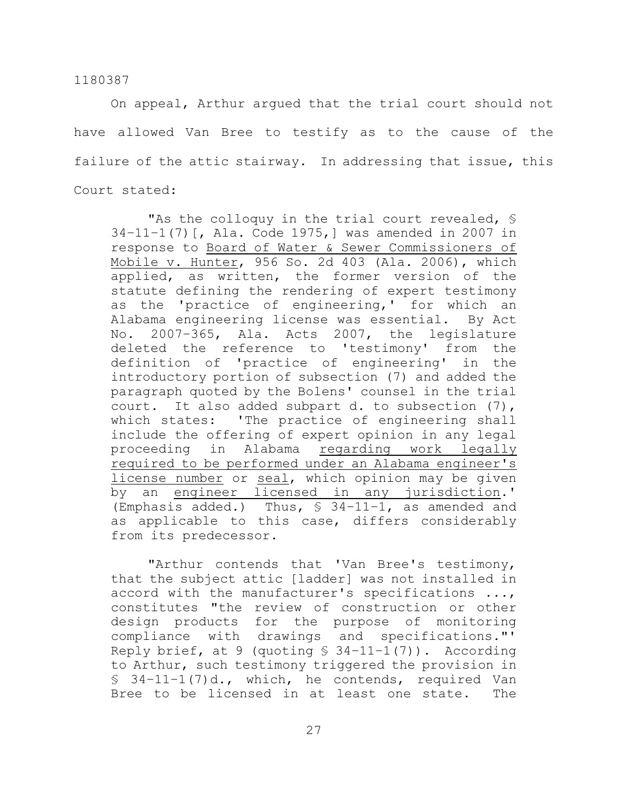On appeal, Arthur argued that the trial court should not have allowed Van Bree to testify as to the cause of the failure of the attic stairway. In addressing that issue, this Court stated:

"As the colloquy in the trial court revealed, § 34–11–1(7)[, Ala. Code 1975,] was amended in 2007 in response to Board of Water & Sewer Commissioners of Mobile v. Hunter, 956 So. 2d 403 (Ala. 2006), which applied, as written, the former version of the statute defining the rendering of expert testimony as the 'practice of engineering,' for which an Alabama engineering license was essential. By Act No. 2007–365, Ala. Acts 2007, the legislature deleted the reference to 'testimony' from the definition of 'practice of engineering' in the introductory portion of subsection (7) and added the paragraph quoted by the Bolens' counsel in the trial court. It also added subpart d. to subsection (7), which states: 'The practice of engineering shall include the offering of expert opinion in any legal proceeding in Alabama regarding work legally required to be performed under an Alabama engineer's license number or seal, which opinion may be given by an engineer licensed in any jurisdiction.' (Emphasis added.) Thus, § 34–11–1, as amended and as applicable to this case, differs considerably from its predecessor.

"Arthur contends that 'Van Bree's testimony, that the subject attic [ladder] was not installed in accord with the manufacturer's specifications ..., constitutes "the review of construction or other design products for the purpose of monitoring compliance with drawings and specifications."' Reply brief, at 9 (quoting  $$34-11-1(7)$ ). According to Arthur, such testimony triggered the provision in  $$34-11-1(7)d$ , which, he contends, required Van Bree to be licensed in at least one state. The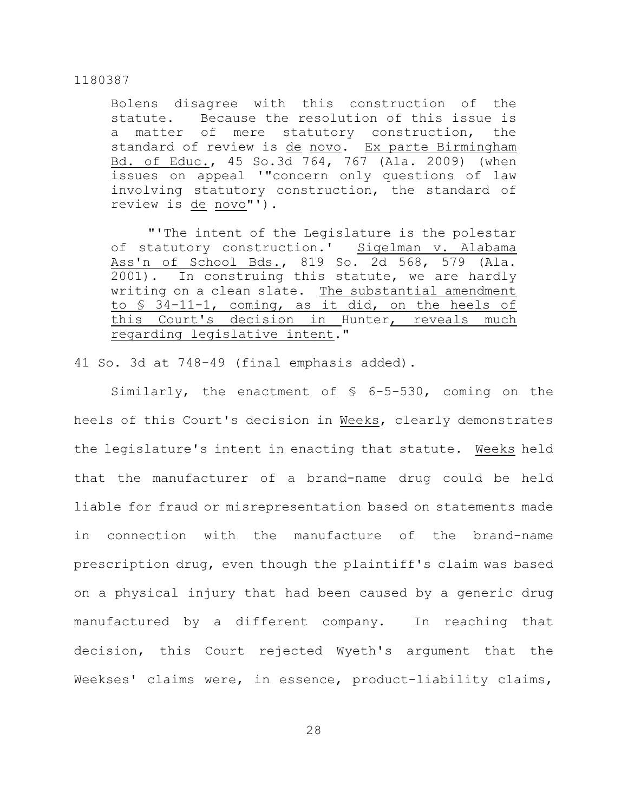Bolens disagree with this construction of the statute. Because the resolution of this issue is a matter of mere statutory construction, the standard of review is de novo. Ex parte Birmingham Bd. of Educ., 45 So.3d 764, 767 (Ala. 2009) (when issues on appeal '"concern only questions of law involving statutory construction, the standard of review is de novo"').

"'The intent of the Legislature is the polestar of statutory construction.' Sigelman v. Alabama Ass'n of School Bds., 819 So. 2d 568, 579 (Ala. 2001). In construing this statute, we are hardly writing on a clean slate. The substantial amendment to § 34-11-1, coming, as it did, on the heels of this Court's decision in Hunter, reveals much regarding legislative intent."

41 So. 3d at 748-49 (final emphasis added).

Similarly, the enactment of § 6-5-530, coming on the heels of this Court's decision in Weeks, clearly demonstrates the legislature's intent in enacting that statute. Weeks held that the manufacturer of a brand-name drug could be held liable for fraud or misrepresentation based on statements made in connection with the manufacture of the brand-name prescription drug, even though the plaintiff's claim was based on a physical injury that had been caused by a generic drug manufactured by a different company. In reaching that decision, this Court rejected Wyeth's argument that the Weekses' claims were, in essence, product-liability claims,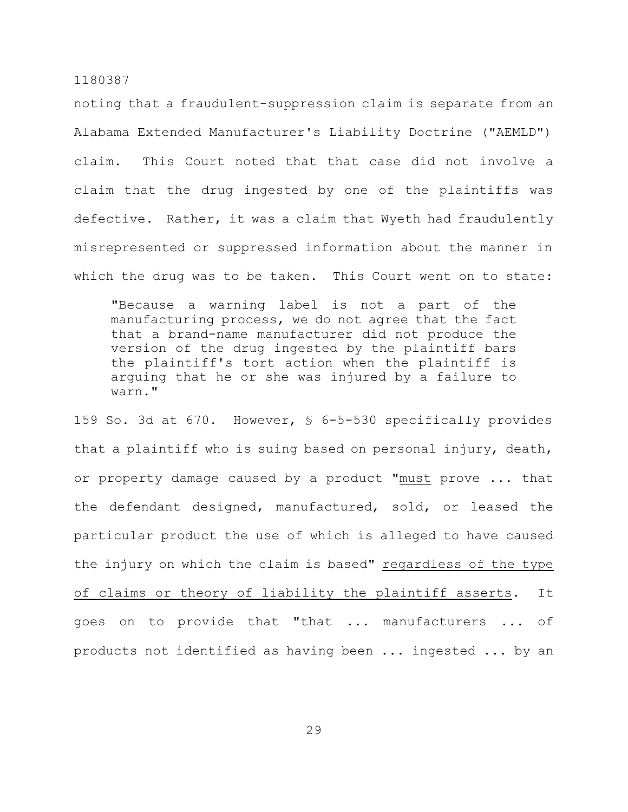noting that a fraudulent-suppression claim is separate from an Alabama Extended Manufacturer's Liability Doctrine ("AEMLD") claim. This Court noted that that case did not involve a claim that the drug ingested by one of the plaintiffs was defective. Rather, it was a claim that Wyeth had fraudulently misrepresented or suppressed information about the manner in which the drug was to be taken. This Court went on to state:

"Because a warning label is not a part of the manufacturing process, we do not agree that the fact that a brand-name manufacturer did not produce the version of the drug ingested by the plaintiff bars the plaintiff's tort action when the plaintiff is arguing that he or she was injured by a failure to warn."

159 So. 3d at 670. However, § 6-5-530 specifically provides that a plaintiff who is suing based on personal injury, death, or property damage caused by a product "must prove ... that the defendant designed, manufactured, sold, or leased the particular product the use of which is alleged to have caused the injury on which the claim is based" regardless of the type of claims or theory of liability the plaintiff asserts. It goes on to provide that "that ... manufacturers ... of products not identified as having been ... ingested ... by an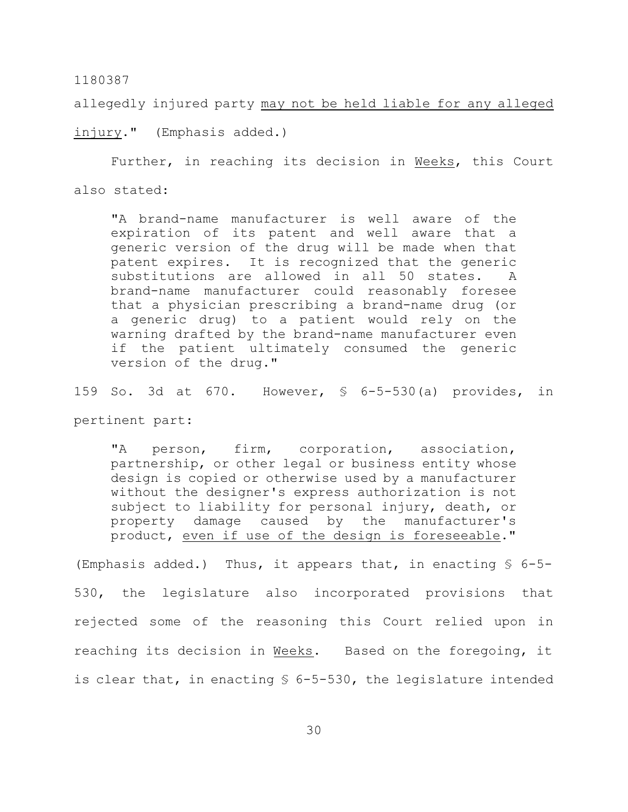allegedly injured party may not be held liable for any alleged

injury." (Emphasis added.)

Further, in reaching its decision in Weeks, this Court also stated:

"A brand-name manufacturer is well aware of the expiration of its patent and well aware that a generic version of the drug will be made when that patent expires. It is recognized that the generic substitutions are allowed in all 50 states. A brand-name manufacturer could reasonably foresee that a physician prescribing a brand-name drug (or a generic drug) to a patient would rely on the warning drafted by the brand-name manufacturer even if the patient ultimately consumed the generic version of the drug."

159 So. 3d at 670. However, § 6-5-530(a) provides, in

pertinent part:

"A person, firm, corporation, association, partnership, or other legal or business entity whose design is copied or otherwise used by a manufacturer without the designer's express authorization is not subject to liability for personal injury, death, or property damage caused by the manufacturer's product, even if use of the design is foreseeable."

(Emphasis added.) Thus, it appears that, in enacting  $\S$  6-5-530, the legislature also incorporated provisions that rejected some of the reasoning this Court relied upon in reaching its decision in Weeks. Based on the foregoing, it is clear that, in enacting § 6-5-530, the legislature intended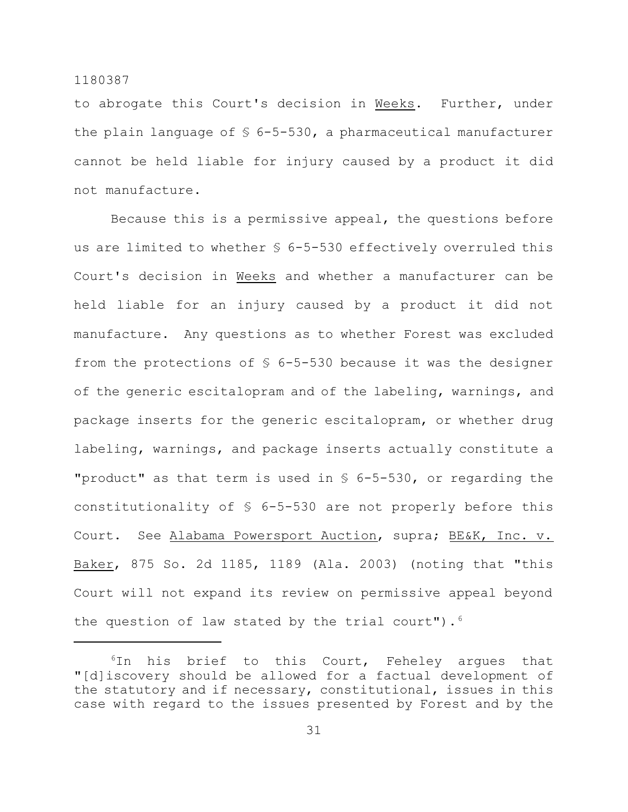to abrogate this Court's decision in Weeks. Further, under the plain language of  $$ 6-5-530$ , a pharmaceutical manufacturer cannot be held liable for injury caused by a product it did not manufacture.

Because this is a permissive appeal, the questions before us are limited to whether § 6-5-530 effectively overruled this Court's decision in Weeks and whether a manufacturer can be held liable for an injury caused by a product it did not manufacture. Any questions as to whether Forest was excluded from the protections of  $$6-5-530$  because it was the designer of the generic escitalopram and of the labeling, warnings, and package inserts for the generic escitalopram, or whether drug labeling, warnings, and package inserts actually constitute a "product" as that term is used in § 6-5-530, or regarding the constitutionality of § 6-5-530 are not properly before this Court. See Alabama Powersport Auction, supra; BE&K, Inc. v. Baker, 875 So. 2d 1185, 1189 (Ala. 2003) (noting that "this Court will not expand its review on permissive appeal beyond the question of law stated by the trial court").  $6$ 

 $6$ In his brief to this Court, Feheley argues that "[d]iscovery should be allowed for a factual development of the statutory and if necessary, constitutional, issues in this case with regard to the issues presented by Forest and by the